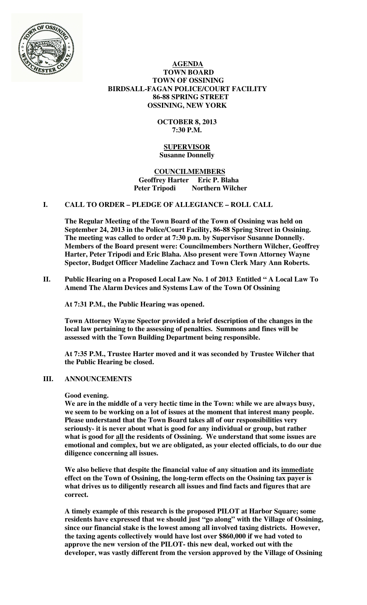

## **AGENDA TOWN BOARD TOWN OF OSSINING BIRDSALL-FAGAN POLICE/COURT FACILITY 86-88 SPRING STREET OSSINING, NEW YORK**

# **OCTOBER 8, 2013 7:30 P.M.**

## **SUPERVISOR Susanne Donnelly**

## **COUNCILMEMBERS Geoffrey Harter Eric P. Blaha Northern Wilcher**

# **I. CALL TO ORDER – PLEDGE OF ALLEGIANCE – ROLL CALL**

**The Regular Meeting of the Town Board of the Town of Ossining was held on September 24, 2013 in the Police/Court Facility, 86-88 Spring Street in Ossining. The meeting was called to order at 7:30 p.m. by Supervisor Susanne Donnelly. Members of the Board present were: Councilmembers Northern Wilcher, Geoffrey Harter, Peter Tripodi and Eric Blaha. Also present were Town Attorney Wayne Spector, Budget Officer Madeline Zachacz and Town Clerk Mary Ann Roberts.** 

## **II. Public Hearing on a Proposed Local Law No. 1 of 2013 Entitled " A Local Law To Amend The Alarm Devices and Systems Law of the Town Of Ossining**

**At 7:31 P.M., the Public Hearing was opened.** 

**Town Attorney Wayne Spector provided a brief description of the changes in the local law pertaining to the assessing of penalties. Summons and fines will be assessed with the Town Building Department being responsible.** 

**At 7:35 P.M., Trustee Harter moved and it was seconded by Trustee Wilcher that the Public Hearing be closed.**

## **III. ANNOUNCEMENTS**

#### **Good evening.**

**We are in the middle of a very hectic time in the Town: while we are always busy, we seem to be working on a lot of issues at the moment that interest many people. Please understand that the Town Board takes all of our responsibilities very seriously- it is never about what is good for any individual or group, but rather what is good for all the residents of Ossining. We understand that some issues are emotional and complex, but we are obligated, as your elected officials, to do our due diligence concerning all issues.** 

**We also believe that despite the financial value of any situation and its immediate effect on the Town of Ossining, the long-term effects on the Ossining tax payer is what drives us to diligently research all issues and find facts and figures that are correct.** 

**A timely example of this research is the proposed PILOT at Harbor Square; some residents have expressed that we should just "go along" with the Village of Ossining, since our financial stake is the lowest among all involved taxing districts. However, the taxing agents collectively would have lost over \$860,000 if we had voted to approve the new version of the PILOT- this new deal, worked out with the developer, was vastly different from the version approved by the Village of Ossining**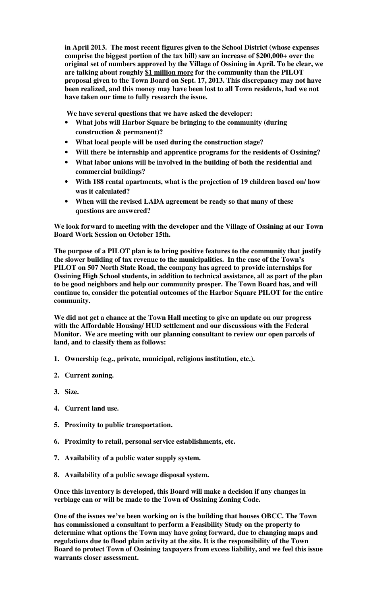**in April 2013. The most recent figures given to the School District (whose expenses comprise the biggest portion of the tax bill) saw an increase of \$200,000+ over the original set of numbers approved by the Village of Ossining in April. To be clear, we are talking about roughly \$1 million more for the community than the PILOT proposal given to the Town Board on Sept. 17, 2013. This discrepancy may not have been realized, and this money may have been lost to all Town residents, had we not have taken our time to fully research the issue.** 

 **We have several questions that we have asked the developer:** 

- **What jobs will Harbor Square be bringing to the community (during construction & permanent)?**
- **What local people will be used during the construction stage?**
- **Will there be internship and apprentice programs for the residents of Ossining?**
- **What labor unions will be involved in the building of both the residential and commercial buildings?**
- **With 188 rental apartments, what is the projection of 19 children based on/ how was it calculated?**
- **When will the revised LADA agreement be ready so that many of these questions are answered?**

**We look forward to meeting with the developer and the Village of Ossining at our Town Board Work Session on October 15th.** 

**The purpose of a PILOT plan is to bring positive features to the community that justify the slower building of tax revenue to the municipalities. In the case of the Town's PILOT on 507 North State Road, the company has agreed to provide internships for Ossining High School students, in addition to technical assistance, all as part of the plan to be good neighbors and help our community prosper. The Town Board has, and will continue to, consider the potential outcomes of the Harbor Square PILOT for the entire community.** 

**We did not get a chance at the Town Hall meeting to give an update on our progress with the Affordable Housing/ HUD settlement and our discussions with the Federal Monitor. We are meeting with our planning consultant to review our open parcels of land, and to classify them as follows:** 

- **1. Ownership (e.g., private, municipal, religious institution, etc.).**
- **2. Current zoning.**
- **3. Size.**
- **4. Current land use.**
- **5. Proximity to public transportation.**
- **6. Proximity to retail, personal service establishments, etc.**
- **7. Availability of a public water supply system.**
- **8. Availability of a public sewage disposal system.**

**Once this inventory is developed, this Board will make a decision if any changes in verbiage can or will be made to the Town of Ossining Zoning Code.** 

**One of the issues we've been working on is the building that houses OBCC. The Town has commissioned a consultant to perform a Feasibility Study on the property to determine what options the Town may have going forward, due to changing maps and regulations due to flood plain activity at the site. It is the responsibility of the Town Board to protect Town of Ossining taxpayers from excess liability, and we feel this issue warrants closer assessment.**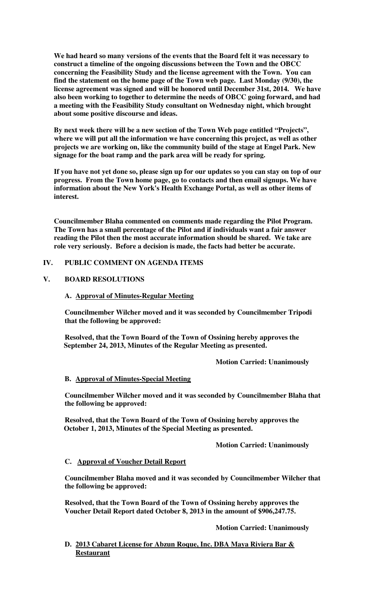**We had heard so many versions of the events that the Board felt it was necessary to construct a timeline of the ongoing discussions between the Town and the OBCC concerning the Feasibility Study and the license agreement with the Town. You can find the statement on the home page of the Town web page. Last Monday (9/30), the license agreement was signed and will be honored until December 31st, 2014. We have also been working to together to determine the needs of OBCC going forward, and had a meeting with the Feasibility Study consultant on Wednesday night, which brought about some positive discourse and ideas.** 

**By next week there will be a new section of the Town Web page entitled "Projects", where we will put all the information we have concerning this project, as well as other projects we are working on, like the community build of the stage at Engel Park. New signage for the boat ramp and the park area will be ready for spring.** 

**If you have not yet done so, please sign up for our updates so you can stay on top of our progress. From the Town home page, go to contacts and then email signups. We have information about the New York's Health Exchange Portal, as well as other items of interest.** 

**Councilmember Blaha commented on comments made regarding the Pilot Program. The Town has a small percentage of the Pilot and if individuals want a fair answer reading the Pilot then the most accurate information should be shared. We take are role very seriously. Before a decision is made, the facts had better be accurate.** 

# **IV. PUBLIC COMMENT ON AGENDA ITEMS**

# **V. BOARD RESOLUTIONS**

## **A. Approval of Minutes-Regular Meeting**

**Councilmember Wilcher moved and it was seconded by Councilmember Tripodi that the following be approved:** 

**Resolved, that the Town Board of the Town of Ossining hereby approves the September 24, 2013, Minutes of the Regular Meeting as presented.** 

 **Motion Carried: Unanimously** 

#### **B. Approval of Minutes-Special Meeting**

**Councilmember Wilcher moved and it was seconded by Councilmember Blaha that the following be approved:** 

**Resolved, that the Town Board of the Town of Ossining hereby approves the October 1, 2013, Minutes of the Special Meeting as presented.** 

 **Motion Carried: Unanimously** 

#### **C. Approval of Voucher Detail Report**

**Councilmember Blaha moved and it was seconded by Councilmember Wilcher that the following be approved:** 

**Resolved, that the Town Board of the Town of Ossining hereby approves the Voucher Detail Report dated October 8, 2013 in the amount of \$906,247.75.** 

 **Motion Carried: Unanimously**

**D. 2013 Cabaret License for Abzun Roque, Inc. DBA Maya Riviera Bar & Restaurant**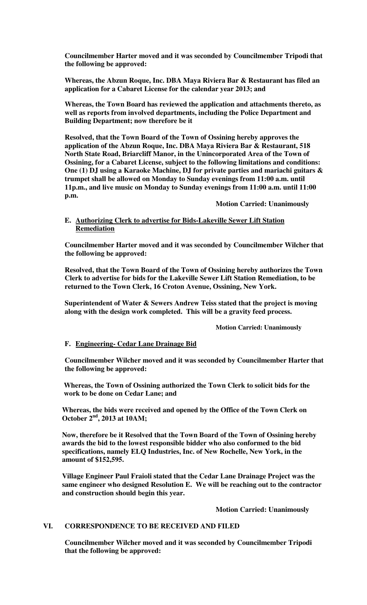**Councilmember Harter moved and it was seconded by Councilmember Tripodi that the following be approved:** 

**Whereas, the Abzun Roque, Inc. DBA Maya Riviera Bar & Restaurant has filed an application for a Cabaret License for the calendar year 2013; and** 

**Whereas, the Town Board has reviewed the application and attachments thereto, as well as reports from involved departments, including the Police Department and Building Department; now therefore be it** 

**Resolved, that the Town Board of the Town of Ossining hereby approves the application of the Abzun Roque, Inc. DBA Maya Riviera Bar & Restaurant, 518 North State Road, Briarcliff Manor, in the Unincorporated Area of the Town of Ossining, for a Cabaret License, subject to the following limitations and conditions: One (1) DJ using a Karaoke Machine, DJ for private parties and mariachi guitars & trumpet shall be allowed on Monday to Sunday evenings from 11:00 a.m. until 11p.m., and live music on Monday to Sunday evenings from 11:00 a.m. until 11:00 p.m.** 

 **Motion Carried: Unanimously**

### **E. Authorizing Clerk to advertise for Bids-Lakeville Sewer Lift Station Remediation**

**Councilmember Harter moved and it was seconded by Councilmember Wilcher that the following be approved:** 

**Resolved, that the Town Board of the Town of Ossining hereby authorizes the Town Clerk to advertise for bids for the Lakeville Sewer Lift Station Remediation, to be returned to the Town Clerk, 16 Croton Avenue, Ossining, New York.** 

**Superintendent of Water & Sewers Andrew Teiss stated that the project is moving along with the design work completed. This will be a gravity feed process.** 

 **Motion Carried: Unanimously** 

## **F. Engineering- Cedar Lane Drainage Bid**

**Councilmember Wilcher moved and it was seconded by Councilmember Harter that the following be approved:** 

**Whereas, the Town of Ossining authorized the Town Clerk to solicit bids for the work to be done on Cedar Lane; and** 

**Whereas, the bids were received and opened by the Office of the Town Clerk on October 2nd, 2013 at 10AM;** 

**Now, therefore be it Resolved that the Town Board of the Town of Ossining hereby awards the bid to the lowest responsible bidder who also conformed to the bid specifications, namely ELQ Industries, Inc. of New Rochelle, New York, in the amount of \$152,595.** 

**Village Engineer Paul Fraioli stated that the Cedar Lane Drainage Project was the same engineer who designed Resolution E. We will be reaching out to the contractor and construction should begin this year.** 

 **Motion Carried: Unanimously**

### **VI. CORRESPONDENCE TO BE RECEIVED AND FILED**

**Councilmember Wilcher moved and it was seconded by Councilmember Tripodi that the following be approved:**